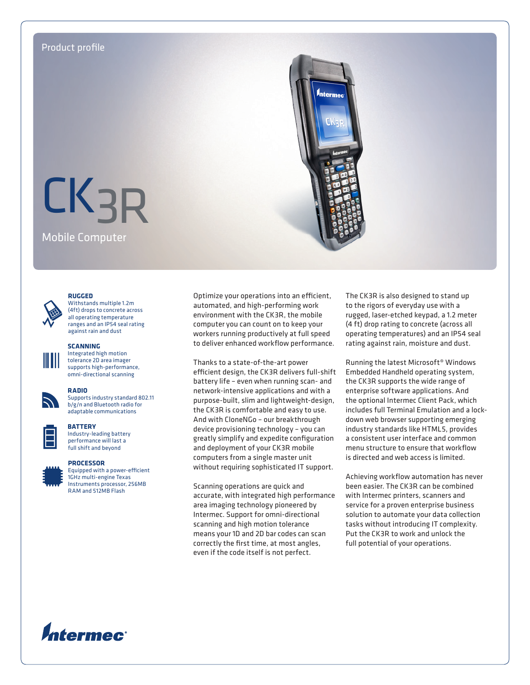

#### **RUGGED**



Withstands multiple 1.2m (4ft) drops to concrete across all operating temperature ranges and an IP54 seal rating against rain and dust

#### **SCANNING**

Integrated high motion tolerance 2D area imager supports high-performance, omni-directional scanning

#### **RADIO**

Supports industry standard 802.11 b/g/n and Bluetooth radio for adaptable communications



## **BATTERY**

Industry-leading battery performance will last a full shift and beyond



## **PROCESSOR**

Equipped with a power-efficient 1GHz multi-engine Texas Instruments processor, 256MB RAM and 512MB Flash

Optimize your operations into an efficient, automated, and high-performing work environment with the CK3R, the mobile computer you can count on to keep your workers running productively at full speed to deliver enhanced workflow performance.

Thanks to a state-of-the-art power efficient design, the CK3R delivers full-shift battery life – even when running scan- and network-intensive applications and with a purpose-built, slim and lightweight-design, the CK3R is comfortable and easy to use. And with CloneNGo – our breakthrough device provisioning technology – you can greatly simplify and expedite configuration and deployment of your CK3R mobile computers from a single master unit without requiring sophisticated IT support.

Scanning operations are quick and accurate, with integrated high performance area imaging technology pioneered by Intermec. Support for omni-directional scanning and high motion tolerance means your 1D and 2D bar codes can scan correctly the first time, at most angles, even if the code itself is not perfect.

The CK3R is also designed to stand up to the rigors of everyday use with a rugged, laser-etched keypad, a 1.2 meter (4 ft) drop rating to concrete (across all operating temperatures) and an IP54 seal rating against rain, moisture and dust.

Running the latest Microsoft® Windows Embedded Handheld operating system, the CK3R supports the wide range of enterprise software applications. And the optional Intermec Client Pack, which includes full Terminal Emulation and a lockdown web browser supporting emerging industry standards like HTML5, provides a consistent user interface and common menu structure to ensure that workflow is directed and web access is limited.

Achieving workflow automation has never been easier. The CK3R can be combined with Intermec printers, scanners and service for a proven enterprise business solution to automate your data collection tasks without introducing IT complexity. Put the CK3R to work and unlock the full potential of your operations.